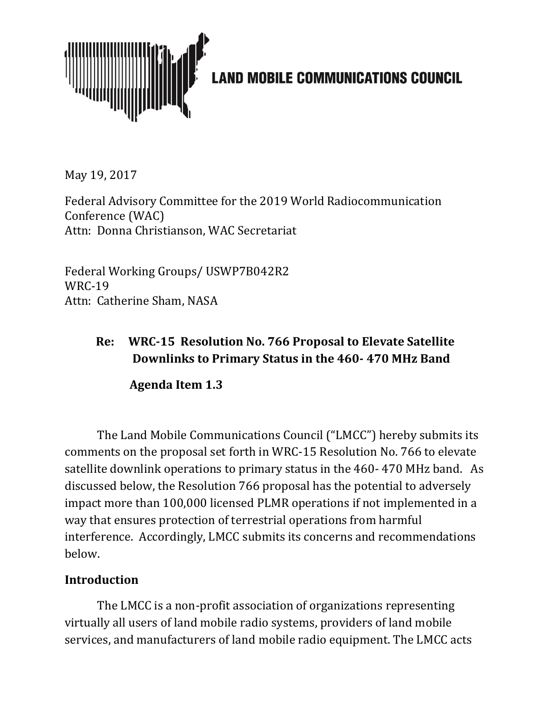

May 19, 2017

Federal Advisory Committee for the 2019 World Radiocommunication Conference (WAC) Attn: Donna Christianson, WAC Secretariat

Federal Working Groups/ USWP7B042R2 WRC-19 Attn: Catherine Sham, NASA

## **Re: WRC-15 Resolution No. 766 Proposal to Elevate Satellite Downlinks to Primary Status in the 460- 470 MHz Band**

**Agenda Item 1.3**

The Land Mobile Communications Council ("LMCC") hereby submits its comments on the proposal set forth in WRC-15 Resolution No. 766 to elevate satellite downlink operations to primary status in the 460- 470 MHz band. As discussed below, the Resolution 766 proposal has the potential to adversely impact more than 100,000 licensed PLMR operations if not implemented in a way that ensures protection of terrestrial operations from harmful interference. Accordingly, LMCC submits its concerns and recommendations below.

## **Introduction**

The LMCC is a non-profit association of organizations representing virtually all users of land mobile radio systems, providers of land mobile services, and manufacturers of land mobile radio equipment. The LMCC acts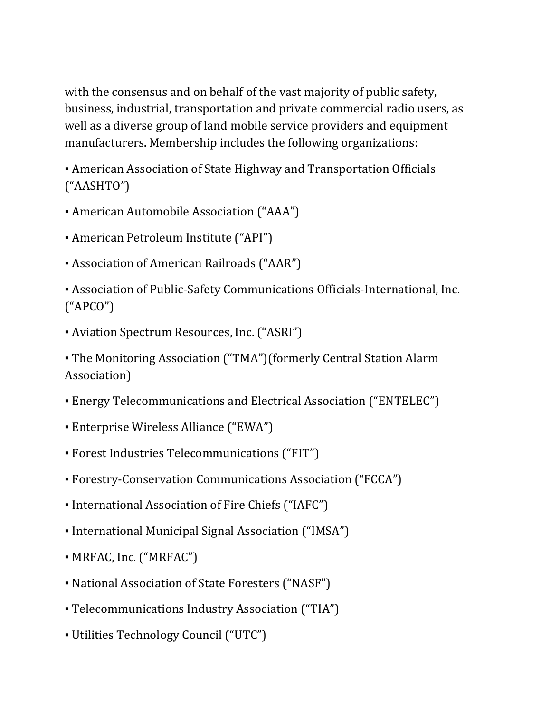with the consensus and on behalf of the vast majority of public safety, business, industrial, transportation and private commercial radio users, as well as a diverse group of land mobile service providers and equipment manufacturers. Membership includes the following organizations:

• American Association of State Highway and Transportation Officials ("AASHTO")

- American Automobile Association ("AAA")
- American Petroleum Institute ("API")
- Association of American Railroads ("AAR")

▪ Association of Public-Safety Communications Officials-International, Inc. ("APCO")

▪ Aviation Spectrum Resources, Inc. ("ASRI")

▪ The Monitoring Association ("TMA")(formerly Central Station Alarm Association)

- Energy Telecommunications and Electrical Association ("ENTELEC")
- Enterprise Wireless Alliance ("EWA")
- Forest Industries Telecommunications ("FIT")
- Forestry-Conservation Communications Association ("FCCA")
- International Association of Fire Chiefs ("IAFC")
- International Municipal Signal Association ("IMSA")
- MRFAC, Inc. ("MRFAC")
- National Association of State Foresters ("NASF")
- Telecommunications Industry Association ("TIA")
- Utilities Technology Council ("UTC")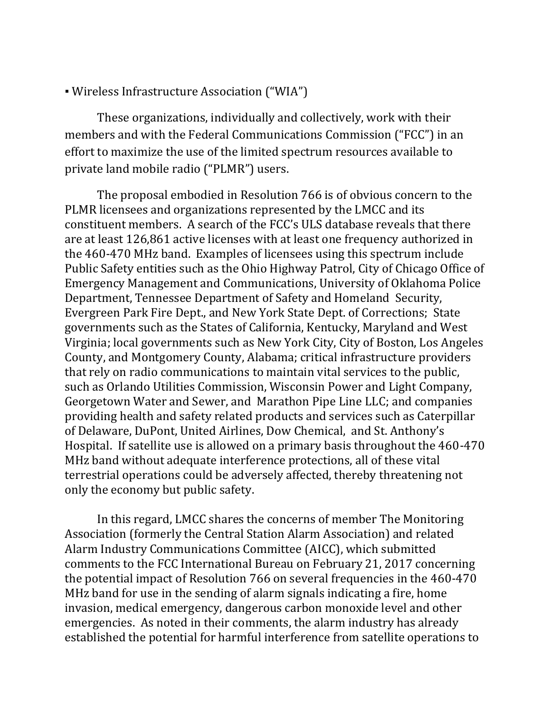▪ Wireless Infrastructure Association ("WIA")

These organizations, individually and collectively, work with their members and with the Federal Communications Commission ("FCC") in an effort to maximize the use of the limited spectrum resources available to private land mobile radio ("PLMR") users.

The proposal embodied in Resolution 766 is of obvious concern to the PLMR licensees and organizations represented by the LMCC and its constituent members. A search of the FCC's ULS database reveals that there are at least 126,861 active licenses with at least one frequency authorized in the 460-470 MHz band. Examples of licensees using this spectrum include Public Safety entities such as the Ohio Highway Patrol, City of Chicago Office of Emergency Management and Communications, University of Oklahoma Police Department, Tennessee Department of Safety and Homeland Security, Evergreen Park Fire Dept., and New York State Dept. of Corrections; State governments such as the States of California, Kentucky, Maryland and West Virginia; local governments such as New York City, City of Boston, Los Angeles County, and Montgomery County, Alabama; critical infrastructure providers that rely on radio communications to maintain vital services to the public, such as Orlando Utilities Commission, Wisconsin Power and Light Company, Georgetown Water and Sewer, and Marathon Pipe Line LLC; and companies providing health and safety related products and services such as Caterpillar of Delaware, DuPont, United Airlines, Dow Chemical, and St. Anthony's Hospital. If satellite use is allowed on a primary basis throughout the 460-470 MHz band without adequate interference protections, all of these vital terrestrial operations could be adversely affected, thereby threatening not only the economy but public safety.

In this regard, LMCC shares the concerns of member The Monitoring Association (formerly the Central Station Alarm Association) and related Alarm Industry Communications Committee (AICC), which submitted comments to the FCC International Bureau on February 21, 2017 concerning the potential impact of Resolution 766 on several frequencies in the 460-470 MHz band for use in the sending of alarm signals indicating a fire, home invasion, medical emergency, dangerous carbon monoxide level and other emergencies. As noted in their comments, the alarm industry has already established the potential for harmful interference from satellite operations to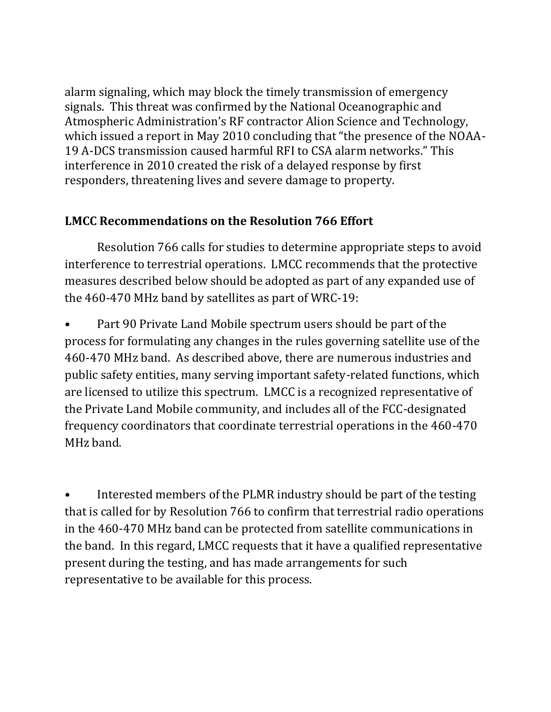alarm signaling, which may block the timely transmission of emergency signals. This threat was confirmed by the National Oceanographic and Atmospheric Administration's RF contractor Alion Science and Technology, which issued a report in May 2010 concluding that "the presence of the NOAA-19 A-DCS transmission caused harmful RFI to CSA alarm networks." This interference in 2010 created the risk of a delayed response by first responders, threatening lives and severe damage to property.

## **LMCC Recommendations on the Resolution 766 Effort**

Resolution 766 calls for studies to determine appropriate steps to avoid interference to terrestrial operations. LMCC recommends that the protective measures described below should be adopted as part of any expanded use of the 460-470 MHz band by satellites as part of WRC-19:

• Part 90 Private Land Mobile spectrum users should be part of the process for formulating any changes in the rules governing satellite use of the 460-470 MHz band. As described above, there are numerous industries and public safety entities, many serving important safety-related functions, which are licensed to utilize this spectrum. LMCC is a recognized representative of the Private Land Mobile community, and includes all of the FCC-designated frequency coordinators that coordinate terrestrial operations in the 460-470 MHz band.

• Interested members of the PLMR industry should be part of the testing that is called for by Resolution 766 to confirm that terrestrial radio operations in the 460-470 MHz band can be protected from satellite communications in the band. In this regard, LMCC requests that it have a qualified representative present during the testing, and has made arrangements for such representative to be available for this process.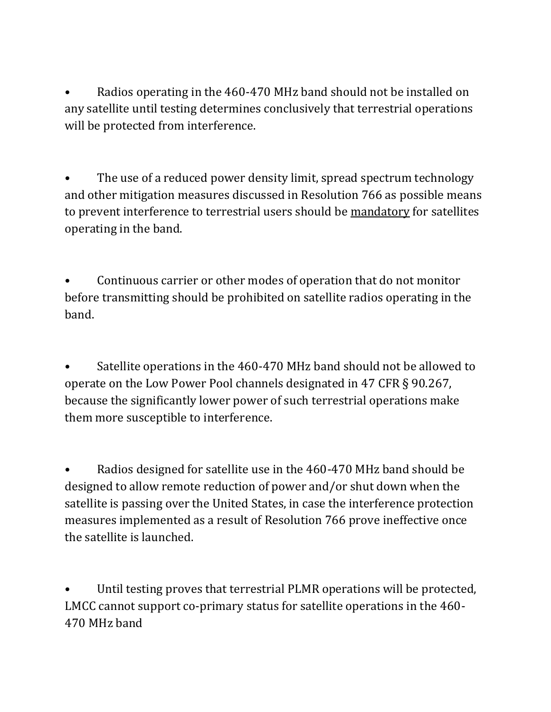• Radios operating in the 460-470 MHz band should not be installed on any satellite until testing determines conclusively that terrestrial operations will be protected from interference.

The use of a reduced power density limit, spread spectrum technology and other mitigation measures discussed in Resolution 766 as possible means to prevent interference to terrestrial users should be mandatory for satellites operating in the band.

• Continuous carrier or other modes of operation that do not monitor before transmitting should be prohibited on satellite radios operating in the band.

• Satellite operations in the 460-470 MHz band should not be allowed to operate on the Low Power Pool channels designated in 47 CFR § 90.267, because the significantly lower power of such terrestrial operations make them more susceptible to interference.

• Radios designed for satellite use in the 460-470 MHz band should be designed to allow remote reduction of power and/or shut down when the satellite is passing over the United States, in case the interference protection measures implemented as a result of Resolution 766 prove ineffective once the satellite is launched.

Until testing proves that terrestrial PLMR operations will be protected, LMCC cannot support co-primary status for satellite operations in the 460- 470 MHz band